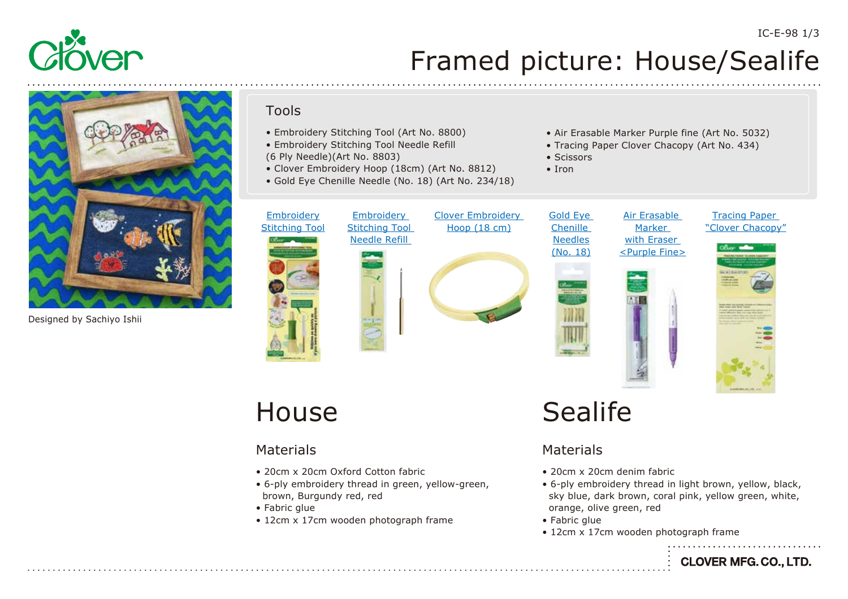



Designed by Sachiyo Ishii

#### Tools

- Embroidery Stitching Tool (Art No. 8800)
- Embroidery Stitching Tool Needle Refill
- (6 Ply Needle)(Art No. 8803)
- Clover Embroidery Hoop (18cm) (Art No. 8812)
- Gold Eye Chenille Needle (No. 18) (Art No. 234/18)



- Air Erasable Marker Purple fine (Art No. 5032)
- Tracing Paper Clover Chacopy (Art No. 434)

Air Erasable Marker with Eraser

• Scissors

• Iron







### House

#### Materials

- 20cm x 20cm Oxford Cotton fabric
- 6-ply embroidery thread in green, yellow-green, brown, Burgundy red, red
- Fabric glue
- 12cm x 17cm wooden photograph frame

## Sealife

#### Materials

- 20cm x 20cm denim fabric
- 6-ply embroidery thread in light brown, yellow, black, sky blue, dark brown, coral pink, yellow green, white, orange, olive green, red
- Fabric glue
- 12cm x 17cm wooden photograph frame

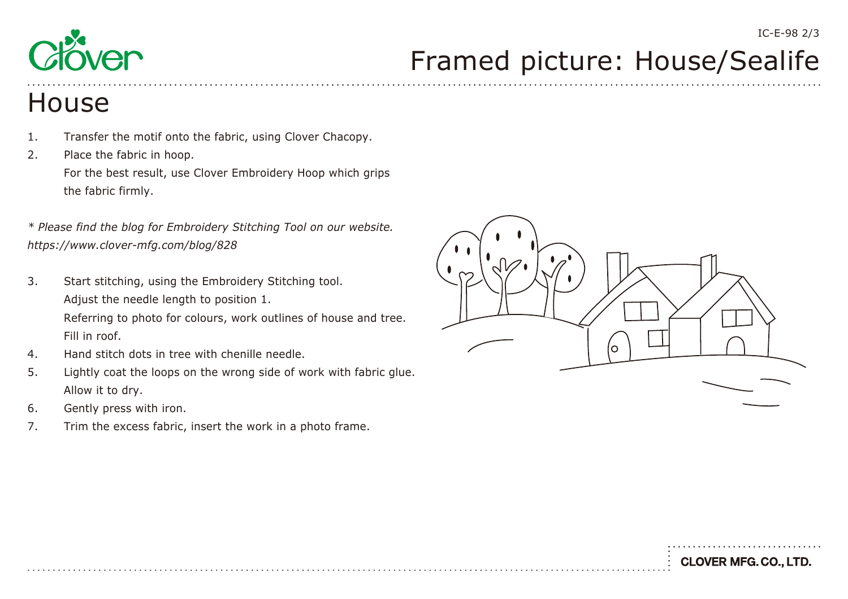

# Framed picture: House/Sealife

### **House**

- 1. Transfer the motif onto the fabric, using Clover Chacopy.
- 2. Place the fabric in hoop. For the best result, use Clover Embroidery Hoop which grips the fabric firmly.

*\* Please find the blog for Embroidery Stitching Tool on our website. <https://www.clover-mfg.com/blog/828>*

- 3. Start stitching, using the Embroidery Stitching tool. Adjust the needle length to position 1. Referring to photo for colours, work outlines of house and tree. Fill in roof.
- 4. Hand stitch dots in tree with chenille needle.
- 5. Lightly coat the loops on the wrong side of work with fabric glue. Allow it to dry.
- 6. Gently press with iron.
- 7. Trim the excess fabric, insert the work in a photo frame.